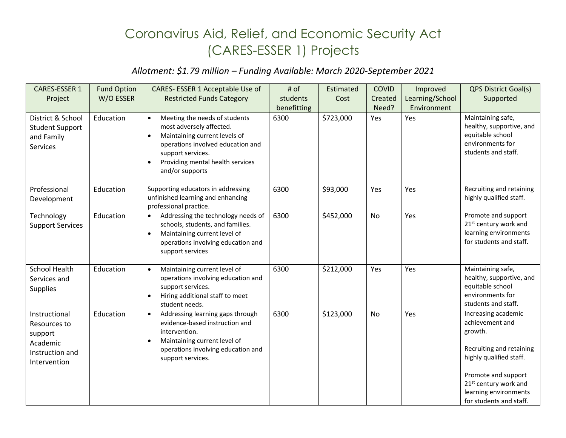## Coronavirus Aid, Relief, and Economic Security Act (CARES-ESSER 1) Projects

## *Allotment: \$1.79 million – Funding Available: March 2020-September 2021*

| CARES-ESSER 1                                                                           | <b>Fund Option</b> | CARES-ESSER 1 Acceptable Use of                                                                                                                                                                                                                    | # of        | Estimated | <b>COVID</b> | Improved        | <b>QPS District Goal(s)</b>                                                                                                                                                                                              |
|-----------------------------------------------------------------------------------------|--------------------|----------------------------------------------------------------------------------------------------------------------------------------------------------------------------------------------------------------------------------------------------|-------------|-----------|--------------|-----------------|--------------------------------------------------------------------------------------------------------------------------------------------------------------------------------------------------------------------------|
| Project                                                                                 | W/O ESSER          | <b>Restricted Funds Category</b>                                                                                                                                                                                                                   | students    | Cost      | Created      | Learning/School | Supported                                                                                                                                                                                                                |
|                                                                                         |                    |                                                                                                                                                                                                                                                    | benefitting |           | Need?        | Environment     |                                                                                                                                                                                                                          |
| District & School<br><b>Student Support</b><br>and Family<br><b>Services</b>            | Education          | Meeting the needs of students<br>$\bullet$<br>most adversely affected.<br>Maintaining current levels of<br>$\bullet$<br>operations involved education and<br>support services.<br>Providing mental health services<br>$\bullet$<br>and/or supports | 6300        | \$723,000 | Yes          | Yes             | Maintaining safe,<br>healthy, supportive, and<br>equitable school<br>environments for<br>students and staff.                                                                                                             |
| Professional<br>Development                                                             | Education          | Supporting educators in addressing<br>unfinished learning and enhancing<br>professional practice.                                                                                                                                                  | 6300        | \$93,000  | Yes          | Yes             | Recruiting and retaining<br>highly qualified staff.                                                                                                                                                                      |
| Technology<br><b>Support Services</b>                                                   | Education          | Addressing the technology needs of<br>$\bullet$<br>schools, students, and families.<br>Maintaining current level of<br>$\bullet$<br>operations involving education and<br>support services                                                         | 6300        | \$452,000 | <b>No</b>    | Yes             | Promote and support<br>21 <sup>st</sup> century work and<br>learning environments<br>for students and staff.                                                                                                             |
| <b>School Health</b><br>Services and<br><b>Supplies</b>                                 | Education          | Maintaining current level of<br>$\bullet$<br>operations involving education and<br>support services.<br>Hiring additional staff to meet<br>$\bullet$<br>student needs.                                                                             | 6300        | \$212,000 | Yes          | Yes             | Maintaining safe,<br>healthy, supportive, and<br>equitable school<br>environments for<br>students and staff.                                                                                                             |
| Instructional<br>Resources to<br>support<br>Academic<br>Instruction and<br>Intervention | Education          | Addressing learning gaps through<br>$\bullet$<br>evidence-based instruction and<br>intervention.<br>Maintaining current level of<br>$\bullet$<br>operations involving education and<br>support services.                                           | 6300        | \$123,000 | No           | Yes             | Increasing academic<br>achievement and<br>growth.<br>Recruiting and retaining<br>highly qualified staff.<br>Promote and support<br>21 <sup>st</sup> century work and<br>learning environments<br>for students and staff. |